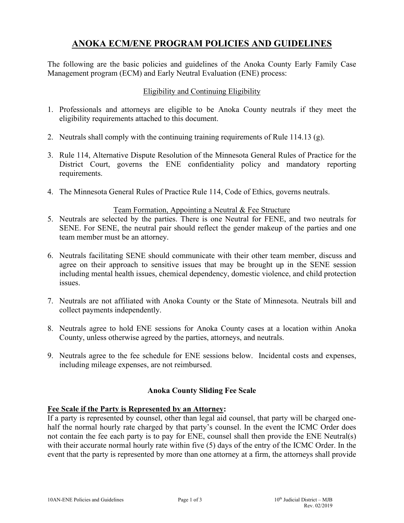# **ANOKA ECM/ENE PROGRAM POLICIES AND GUIDELINES**

The following are the basic policies and guidelines of the Anoka County Early Family Case Management program (ECM) and Early Neutral Evaluation (ENE) process:

#### Eligibility and Continuing Eligibility

- 1. Professionals and attorneys are eligible to be Anoka County neutrals if they meet the eligibility requirements attached to this document.
- 2. Neutrals shall comply with the continuing training requirements of Rule 114.13 (g).
- 3. Rule 114, Alternative Dispute Resolution of the Minnesota General Rules of Practice for the District Court, governs the ENE confidentiality policy and mandatory reporting requirements.
- 4. The Minnesota General Rules of Practice Rule 114, Code of Ethics, governs neutrals.

#### Team Formation, Appointing a Neutral & Fee Structure

- 5. Neutrals are selected by the parties. There is one Neutral for FENE, and two neutrals for SENE. For SENE, the neutral pair should reflect the gender makeup of the parties and one team member must be an attorney.
- 6. Neutrals facilitating SENE should communicate with their other team member, discuss and agree on their approach to sensitive issues that may be brought up in the SENE session including mental health issues, chemical dependency, domestic violence, and child protection issues.
- 7. Neutrals are not affiliated with Anoka County or the State of Minnesota. Neutrals bill and collect payments independently.
- 8. Neutrals agree to hold ENE sessions for Anoka County cases at a location within Anoka County, unless otherwise agreed by the parties, attorneys, and neutrals.
- 9. Neutrals agree to the fee schedule for ENE sessions below. Incidental costs and expenses, including mileage expenses, are not reimbursed.

#### **Anoka County Sliding Fee Scale**

#### **Fee Scale if the Party is Represented by an Attorney:**

If a party is represented by counsel, other than legal aid counsel, that party will be charged onehalf the normal hourly rate charged by that party's counsel. In the event the ICMC Order does not contain the fee each party is to pay for ENE, counsel shall then provide the ENE Neutral(s) with their accurate normal hourly rate within five (5) days of the entry of the ICMC Order. In the event that the party is represented by more than one attorney at a firm, the attorneys shall provide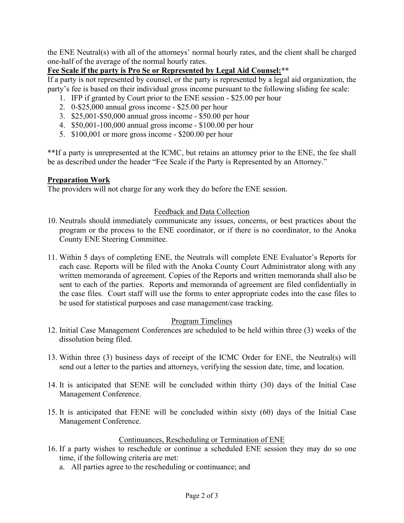the ENE Neutral(s) with all of the attorneys' normal hourly rates, and the client shall be charged one-half of the average of the normal hourly rates.

# **Fee Scale if the party is Pro Se or Represented by Legal Aid Counsel:\*\***

If a party is not represented by counsel, or the party is represented by a legal aid organization, the party's fee is based on their individual gross income pursuant to the following sliding fee scale:

- 1. IFP if granted by Court prior to the ENE session \$25.00 per hour
- 2. 0-\$25,000 annual gross income \$25.00 per hour
- 3. \$25,001-\$50,000 annual gross income \$50.00 per hour
- 4. \$50,001-100,000 annual gross income \$100.00 per hour
- 5. \$100,001 or more gross income \$200.00 per hour

\*\*If a party is unrepresented at the ICMC, but retains an attorney prior to the ENE, the fee shall be as described under the header "Fee Scale if the Party is Represented by an Attorney."

# **Preparation Work**

The providers will not charge for any work they do before the ENE session.

# Feedback and Data Collection

- 10. Neutrals should immediately communicate any issues, concerns, or best practices about the program or the process to the ENE coordinator, or if there is no coordinator, to the Anoka County ENE Steering Committee.
- 11. Within 5 days of completing ENE, the Neutrals will complete ENE Evaluator's Reports for each case. Reports will be filed with the Anoka County Court Administrator along with any written memoranda of agreement. Copies of the Reports and written memoranda shall also be sent to each of the parties. Reports and memoranda of agreement are filed confidentially in the case files. Court staff will use the forms to enter appropriate codes into the case files to be used for statistical purposes and case management/case tracking.

# Program Timelines

- 12. Initial Case Management Conferences are scheduled to be held within three (3) weeks of the dissolution being filed.
- 13. Within three (3) business days of receipt of the ICMC Order for ENE, the Neutral(s) will send out a letter to the parties and attorneys, verifying the session date, time, and location.
- 14. It is anticipated that SENE will be concluded within thirty (30) days of the Initial Case Management Conference.
- 15. It is anticipated that FENE will be concluded within sixty (60) days of the Initial Case Management Conference.

#### Continuances, Rescheduling or Termination of ENE

- 16. If a party wishes to reschedule or continue a scheduled ENE session they may do so one time, if the following criteria are met:
	- a. All parties agree to the rescheduling or continuance; and